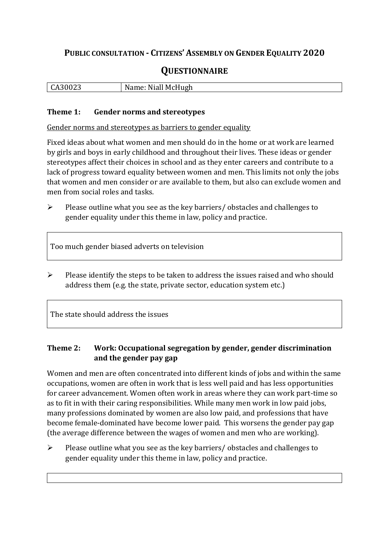# **PUBLIC CONSULTATION - CITIZENS' ASSEMBLY ON GENDER EQUALITY 2020**

# **QUESTIONNAIRE**

| ,,, | Mc           |
|-----|--------------|
| . . | N.           |
| ULJ | Niall McHugh |
| ື້  | .            |
|     |              |

#### **Theme 1: Gender norms and stereotypes**

Gender norms and stereotypes as barriers to gender equality

Fixed ideas about what women and men should do in the home or at work are learned by girls and boys in early childhood and throughout their lives. These ideas or gender stereotypes affect their choices in school and as they enter careers and contribute to a lack of progress toward equality between women and men. This limits not only the jobs that women and men consider or are available to them, but also can exclude women and men from social roles and tasks.

➢ Please outline what you see as the key barriers/ obstacles and challenges to gender equality under this theme in law, policy and practice.

Too much gender biased adverts on television

➢ Please identify the steps to be taken to address the issues raised and who should address them (e.g. the state, private sector, education system etc.)

The state should address the issues

## **Theme 2: Work: Occupational segregation by gender, gender discrimination and the gender pay gap**

Women and men are often concentrated into different kinds of jobs and within the same occupations, women are often in work that is less well paid and has less opportunities for career advancement. Women often work in areas where they can work part-time so as to fit in with their caring responsibilities. While many men work in low paid jobs, many professions dominated by women are also low paid, and professions that have become female-dominated have become lower paid. This worsens the gender pay gap (the average difference between the wages of women and men who are working).

➢ Please outline what you see as the key barriers/ obstacles and challenges to gender equality under this theme in law, policy and practice.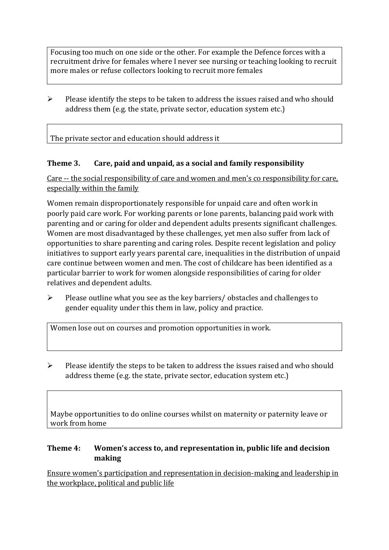Focusing too much on one side or the other. For example the Defence forces with a recruitment drive for females where I never see nursing or teaching looking to recruit more males or refuse collectors looking to recruit more females

 $\triangleright$  Please identify the steps to be taken to address the issues raised and who should address them (e.g. the state, private sector, education system etc.)

The private sector and education should address it

### **Theme 3. Care, paid and unpaid, as a social and family responsibility**

Care -- the social responsibility of care and women and men's co responsibility for care, especially within the family

Women remain disproportionately responsible for unpaid care and often work in poorly paid care work. For working parents or [lone parents,](https://aran.library.nuigalway.ie/bitstream/handle/10379/6044/Millar_and_Crosse_Activation_Report.pdf?sequence=1&isAllowed=y) balancing paid work with parenting and or caring for older and dependent adults presents significant challenges. Women are [most disadvantaged by these challenges,](https://eige.europa.eu/gender-equality-index/game/IE/W) yet men also suffer from lack of opportunities to share parenting and caring roles. Despite recent legislation and policy initiatives to support early years parental care, [inequalities in the distribution of unpaid](https://www.ihrec.ie/app/uploads/2019/07/Caring-and-Unpaid-Work-in-Ireland_Final.pdf)  [care](https://www.ihrec.ie/app/uploads/2019/07/Caring-and-Unpaid-Work-in-Ireland_Final.pdf) continue between women and men. The cost of childcare has been identified as a particular barrier to work for women alongside responsibilities of caring for older relatives and dependent adults.

➢ Please outline what you see as the key barriers/ obstacles and challenges to gender equality under this them in law, policy and practice.

Women lose out on courses and promotion opportunities in work.

➢ Please identify the steps to be taken to address the issues raised and who should address theme (e.g. the state, private sector, education system etc.)

Maybe opportunities to do online courses whilst on maternity or paternity leave or work from home

#### **Theme 4: Women's access to, and representation in, public life and decision making**

Ensure women's participation and representation in decision-making and leadership in the workplace, political and public life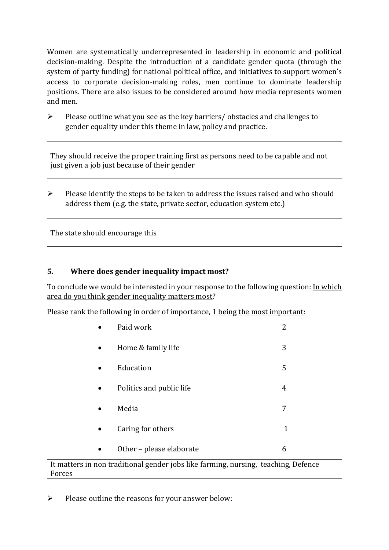Women are systematically underrepresented in leadership in [economic](https://eige.europa.eu/gender-equality-index/2019/compare-countries/power/2/bar) and [political](https://eige.europa.eu/gender-equality-index/2019/compare-countries/power/1/bar)  [decision-](https://eige.europa.eu/gender-equality-index/2019/compare-countries/power/1/bar)making. Despite the introduction of a candidate gender quota (through the system of party funding) for national political office, and [initiatives](https://betterbalance.ie/) to support women's access to corporate decision-making roles, men continue to dominate leadership positions. There are also issues to be considered around how media represents women and men.

➢ Please outline what you see as the key barriers/ obstacles and challenges to gender equality under this theme in law, policy and practice.

They should receive the proper training first as persons need to be capable and not just given a job just because of their gender

 $\triangleright$  Please identify the steps to be taken to address the issues raised and who should address them (e.g. the state, private sector, education system etc.)

The state should encourage this

### **5. Where does gender inequality impact most?**

To conclude we would be interested in your response to the following question: In which area do you think gender inequality matters most?

Please rank the following in order of importance, 1 being the most important:

| Paid work                | 2 |
|--------------------------|---|
| Home & family life       |   |
| Education                | 5 |
| Politics and public life | 4 |
| Media                    |   |
| Caring for others        | 1 |
| Other - please elaborate | 6 |

#### It matters in non traditional gender jobs like farming, nursing, teaching, Defence Forces

 $\triangleright$  Please outline the reasons for your answer below: